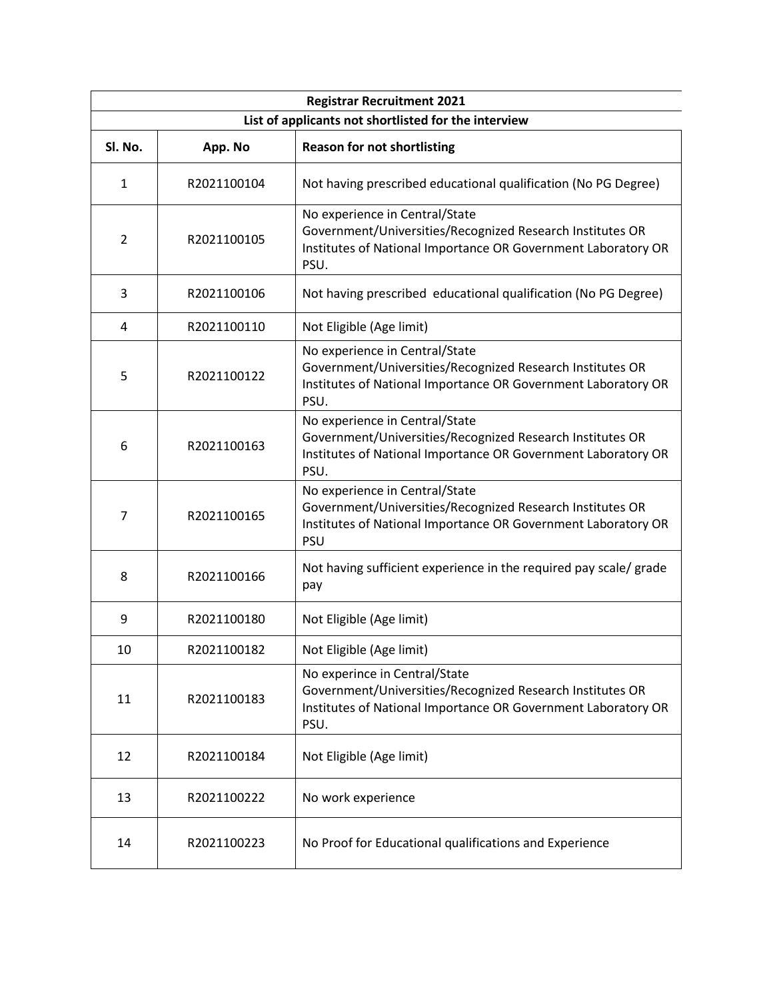| <b>Registrar Recruitment 2021</b>                    |             |                                                                                                                                                                            |  |
|------------------------------------------------------|-------------|----------------------------------------------------------------------------------------------------------------------------------------------------------------------------|--|
| List of applicants not shortlisted for the interview |             |                                                                                                                                                                            |  |
| Sl. No.                                              | App. No     | <b>Reason for not shortlisting</b>                                                                                                                                         |  |
| 1                                                    | R2021100104 | Not having prescribed educational qualification (No PG Degree)                                                                                                             |  |
| $\overline{2}$                                       | R2021100105 | No experience in Central/State<br>Government/Universities/Recognized Research Institutes OR<br>Institutes of National Importance OR Government Laboratory OR<br>PSU.       |  |
| 3                                                    | R2021100106 | Not having prescribed educational qualification (No PG Degree)                                                                                                             |  |
| 4                                                    | R2021100110 | Not Eligible (Age limit)                                                                                                                                                   |  |
| 5                                                    | R2021100122 | No experience in Central/State<br>Government/Universities/Recognized Research Institutes OR<br>Institutes of National Importance OR Government Laboratory OR<br>PSU.       |  |
| 6                                                    | R2021100163 | No experience in Central/State<br>Government/Universities/Recognized Research Institutes OR<br>Institutes of National Importance OR Government Laboratory OR<br>PSU.       |  |
| 7                                                    | R2021100165 | No experience in Central/State<br>Government/Universities/Recognized Research Institutes OR<br>Institutes of National Importance OR Government Laboratory OR<br><b>PSU</b> |  |
| 8                                                    | R2021100166 | Not having sufficient experience in the required pay scale/ grade<br>pay                                                                                                   |  |
| 9                                                    | R2021100180 | Not Eligible (Age limit)                                                                                                                                                   |  |
| 10                                                   | R2021100182 | Not Eligible (Age limit)                                                                                                                                                   |  |
| 11                                                   | R2021100183 | No experince in Central/State<br>Government/Universities/Recognized Research Institutes OR<br>Institutes of National Importance OR Government Laboratory OR<br>PSU.        |  |
| 12                                                   | R2021100184 | Not Eligible (Age limit)                                                                                                                                                   |  |
| 13                                                   | R2021100222 | No work experience                                                                                                                                                         |  |
| 14                                                   | R2021100223 | No Proof for Educational qualifications and Experience                                                                                                                     |  |